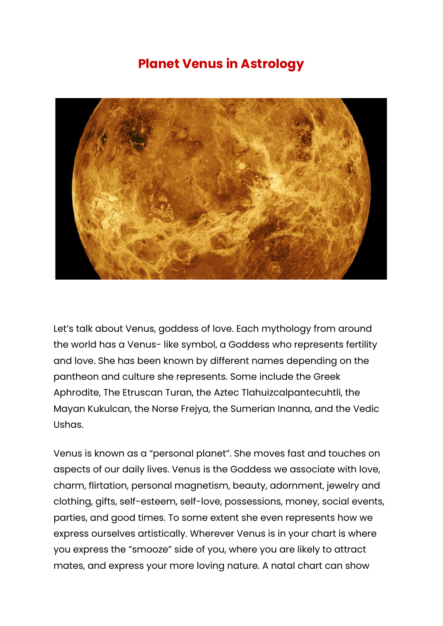## **Planet Venus in Astrology**



Let's talk about Venus, goddess of love. Each mythology from around the world has a Venus- like symbol, a Goddess who represents fertility and love. She has been known by different names depending on the pantheon and culture she represents. Some include the Greek Aphrodite, The Etruscan Turan, the Aztec Tlahuizcalpantecuhtli, the Mayan Kukulcan, the Norse Frejya, the Sumerian Inanna, and the Vedic Ushas.

Venus is known as a "personal planet". She moves fast and touches on aspects of our daily lives. Venus is the Goddess we associate with love, charm, flirtation, personal magnetism, beauty, adornment, jewelry and clothing, gifts, self-esteem, self-love, possessions, money, social events, parties, and good times. To some extent she even represents how we express ourselves artistically. Wherever Venus is in your chart is where you express the "smooze" side of you, where you are likely to attract mates, and express your more loving nature. A natal chart can show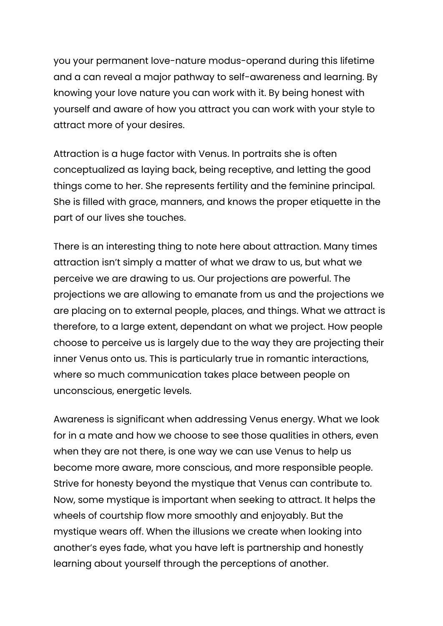you your permanent love-nature modus-operand during this lifetime and a can reveal a major pathway to self-awareness and learning. By knowing your love nature you can work with it. By being honest with yourself and aware of how you attract you can work with your style to attract more of your desires.

Attraction is a huge factor with Venus. In portraits she is often conceptualized as laying back, being receptive, and letting the good things come to her. She represents fertility and the feminine principal. She is filled with grace, manners, and knows the proper etiquette in the part of our lives she touches.

There is an interesting thing to note here about attraction. Many times attraction isn't simply a matter of what we draw to us, but what we perceive we are drawing to us. Our projections are powerful. The projections we are allowing to emanate from us and the projections we are placing on to external people, places, and things. What we attract is therefore, to a large extent, dependant on what we project. How people choose to perceive us is largely due to the way they are projecting their inner Venus onto us. This is particularly true in romantic interactions, where so much communication takes place between people on unconscious, energetic levels.

Awareness is significant when addressing Venus energy. What we look for in a mate and how we choose to see those qualities in others, even when they are not there, is one way we can use Venus to help us become more aware, more conscious, and more responsible people. Strive for honesty beyond the mystique that Venus can contribute to. Now, some mystique is important when seeking to attract. It helps the wheels of courtship flow more smoothly and enjoyably. But the mystique wears off. When the illusions we create when looking into another's eyes fade, what you have left is partnership and honestly learning about yourself through the perceptions of another.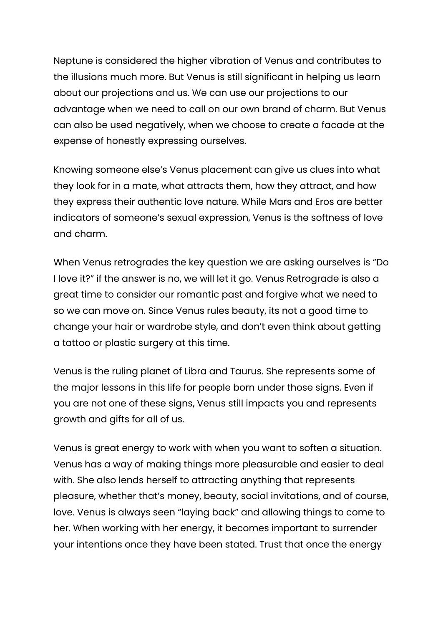Neptune is considered the higher vibration of Venus and contributes to the illusions much more. But Venus is still significant in helping us learn about our projections and us. We can use our projections to our advantage when we need to call on our own brand of charm. But Venus can also be used negatively, when we choose to create a facade at the expense of honestly expressing ourselves.

Knowing someone else's Venus placement can give us clues into what they look for in a mate, what attracts them, how they attract, and how they express their authentic love nature. While Mars and Eros are better indicators of someone's sexual expression, Venus is the softness of love and charm.

When Venus retrogrades the key question we are asking ourselves is "Do I love it?" if the answer is no, we will let it go. Venus Retrograde is also a great time to consider our romantic past and forgive what we need to so we can move on. Since Venus rules beauty, its not a good time to change your hair or wardrobe style, and don't even think about getting a tattoo or plastic surgery at this time.

Venus is the ruling planet of Libra and Taurus. She represents some of the major lessons in this life for people born under those signs. Even if you are not one of these signs, Venus still impacts you and represents growth and gifts for all of us.

Venus is great energy to work with when you want to soften a situation. Venus has a way of making things more pleasurable and easier to deal with. She also lends herself to attracting anything that represents pleasure, whether that's money, beauty, social invitations, and of course, love. Venus is always seen "laying back" and allowing things to come to her. When working with her energy, it becomes important to surrender your intentions once they have been stated. Trust that once the energy